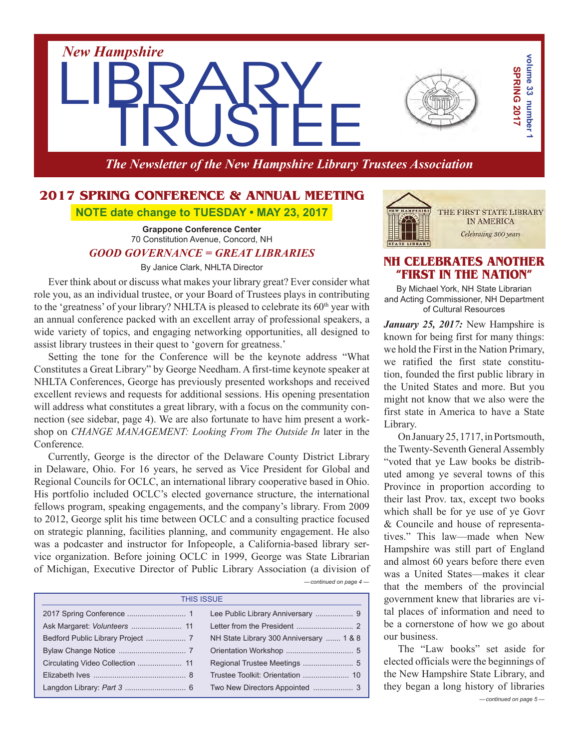*New Hampshire* LIBRARY

*The Newsletter of the New Hampshire Library Trustees Association*

# **2017 SPRING CONFERENCE & ANNUAL MEETING NOTE date change to TUESDAY • MAY 23, 2017**

**Grappone Conference Center** 70 Constitution Avenue, Concord, NH

## *GOOD GOVERNANCE = GREAT LIBRARIES*

By Janice Clark, NHLTA Director

Ever think about or discuss what makes your library great? Ever consider what role you, as an individual trustee, or your Board of Trustees plays in contributing to the 'greatness' of your library? NHLTA is pleased to celebrate its  $60<sup>th</sup>$  year with an annual conference packed with an excellent array of professional speakers, a wide variety of topics, and engaging networking opportunities, all designed to assist library trustees in their quest to 'govern for greatness.'

Setting the tone for the Conference will be the keynote address "What Constitutes a Great Library" by George Needham. A first-time keynote speaker at NHLTA Conferences, George has previously presented workshops and received excellent reviews and requests for additional sessions. His opening presentation will address what constitutes a great library, with a focus on the community connection (see sidebar, page 4). We are also fortunate to have him present a workshop on *Change Management: Looking From The Outside In* later in the Conference*.*

**PHOTO CONFIGURATES AND THE CONFIGURATES AND THE CONFIGURATES AND THE CONFIGURATES CONFIGURATES AND THE CONFIGURATES AND THE CONFIGURATES AND THE CONFIGURATES AND THE CONFIGURATES AND THE CONFIGURATION CONFIGURATES AND TH** *— continued on page 4 —* Currently, George is the director of the Delaware County District Library in Delaware, Ohio. For 16 years, he served as Vice President for Global and Regional Councils for OCLC, an international library cooperative based in Ohio. His portfolio included OCLC's elected governance structure, the international fellows program, speaking engagements, and the company's library. From 2009 to 2012, George split his time between OCLC and a consulting practice focused on strategic planning, facilities planning, and community engagement. He also was a podcaster and instructor for Infopeople, a California-based library service organization. Before joining OCLC in 1999, George was State Librarian of Michigan, Executive Director of Public Library Association (a division of

| <b>THIS ISSUE</b> |                                         |  |
|-------------------|-----------------------------------------|--|
|                   |                                         |  |
|                   |                                         |  |
|                   | NH State Library 300 Anniversary  1 & 8 |  |
|                   |                                         |  |
|                   |                                         |  |
|                   |                                         |  |
|                   |                                         |  |

# **NH Celebrates Another "FIRST IN THE NATION"**

By Michael York, NH State Librarian and Acting Commissioner, NH Department of Cultural Resources

*January 25, 2017:* New Hampshire is known for being first for many things: we hold the First in the Nation Primary, we ratified the first state constitution, founded the first public library in the United States and more. But you might not know that we also were the first state in America to have a State Library.

OnJanuary25,1717,inPortsmouth, the Twenty-Seventh General Assembly "voted that ye Law books be distributed among ye several towns of this Province in proportion according to their last Prov. tax, except two books which shall be for ye use of ye Govr & Councile and house of representatives." This law—made when New Hampshire was still part of England and almost 60 years before there even was a United States—makes it clear that the members of the provincial government knew that libraries are vital places of information and need to be a cornerstone of how we go about our business.

*— continued on page 5 —* The "Law books" set aside for elected officials were the beginnings of the New Hampshire State Library, and they began a long history of libraries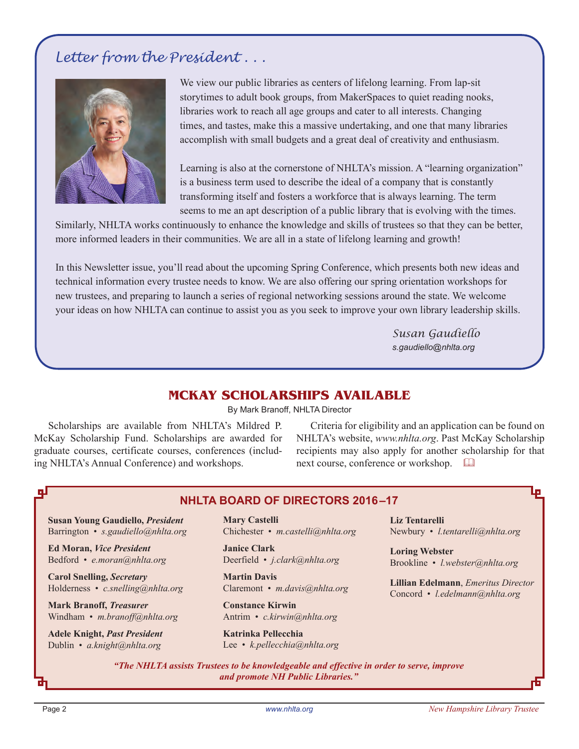# *Letter from the President . . .*



We view our public libraries as centers of lifelong learning. From lap-sit storytimes to adult book groups, from MakerSpaces to quiet reading nooks, libraries work to reach all age groups and cater to all interests. Changing times, and tastes, make this a massive undertaking, and one that many libraries accomplish with small budgets and a great deal of creativity and enthusiasm.

Learning is also at the cornerstone of NHLTA's mission. A "learning organization" is a business term used to describe the ideal of a company that is constantly transforming itself and fosters a workforce that is always learning. The term seems to me an apt description of a public library that is evolving with the times.

Similarly, NHLTA works continuously to enhance the knowledge and skills of trustees so that they can be better, more informed leaders in their communities. We are all in a state of lifelong learning and growth!

In this Newsletter issue, you'll read about the upcoming Spring Conference, which presents both new ideas and technical information every trustee needs to know. We are also offering our spring orientation workshops for new trustees, and preparing to launch a series of regional networking sessions around the state. We welcome your ideas on how NHLTA can continue to assist you as you seek to improve your own library leadership skills.

> *Susan Gaudiello s.gaudiello@nhlta.org*

# **MCKAY SCHOLARSHIPS AVAILABLE**

By Mark Branoff, NHLTA Director

Scholarships are available from NHLTA's Mildred P. McKay Scholarship Fund. Scholarships are awarded for graduate courses, certificate courses, conferences (including NHLTA's Annual Conference) and workshops.

Criteria for eligibility and an application can be found on NHLTA's website, *www.nhlta.org*. Past McKay Scholarship recipients may also apply for another scholarship for that next course, conference or workshop.  $\square$ 

# **NHLTA BOARD of directors 2016–17**

**Susan Young Gaudiello,** *President* Barrington • *s.gaudiello@nhlta.org*

**Ed Moran,** *Vice President* Bedford • *e.moran@nhlta.org*

**Carol Snelling,** *Secretary* Holderness • *c.snelling@nhlta.org*

**Mark Branoff,** *Treasurer* Windham • *m.branoff@nhlta.org*

**Adele Knight,** *Past President* Dublin • *a.knight@nhlta.org*

**Mary Castelli** Chichester • *m.castelli@nhlta.org*

**Janice Clark** Deerfield • *j.clark@nhlta.org*

**Martin Davis** Claremont • *m.davis@nhlta.org*

**Constance Kirwin** Antrim • *c.kirwin@nhlta.org*

**Katrinka Pellecchia** Lee • *k.pellecchia@nhlta.org*

**Liz Tentarelli** Newbury • *l.tentarelli@nhlta.org* 

**Loring Webster** Brookline • *l.webster@nhlta.org*

**Lillian Edelmann**, *Emeritus Director* Concord • *l.edelmann@nhlta.org*

*"The NHLTA assists Trustees to be knowledgeable and effective in order to serve, improve and promote NH Public Libraries."*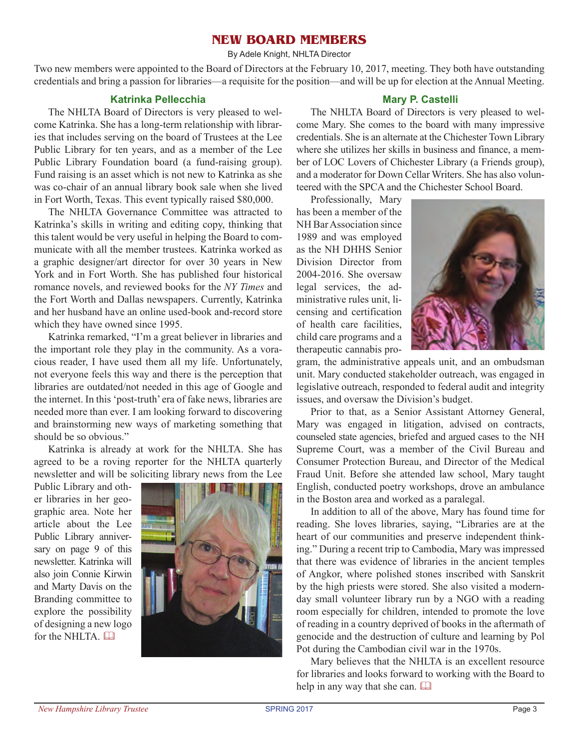# **New Board Members**

By Adele Knight, NHLTA Director

Two new members were appointed to the Board of Directors at the February 10, 2017, meeting. They both have outstanding credentials and bring a passion for libraries—a requisite for the position—and will be up for election at the Annual Meeting.

## **Katrinka Pellecchia**

The NHLTA Board of Directors is very pleased to welcome Katrinka. She has a long-term relationship with libraries that includes serving on the board of Trustees at the Lee Public Library for ten years, and as a member of the Lee Public Library Foundation board (a fund-raising group). Fund raising is an asset which is not new to Katrinka as she was co-chair of an annual library book sale when she lived in Fort Worth, Texas. This event typically raised \$80,000.

The NHLTA Governance Committee was attracted to Katrinka's skills in writing and editing copy, thinking that this talent would be very useful in helping the Board to communicate with all the member trustees. Katrinka worked as a graphic designer/art director for over 30 years in New York and in Fort Worth. She has published four historical romance novels, and reviewed books for the *NY Times* and the Fort Worth and Dallas newspapers. Currently, Katrinka and her husband have an online used-book and-record store which they have owned since 1995.

Katrinka remarked, "I'm a great believer in libraries and the important role they play in the community. As a voracious reader, I have used them all my life. Unfortunately, not everyone feels this way and there is the perception that libraries are outdated/not needed in this age of Google and the internet. In this 'post-truth' era of fake news, libraries are needed more than ever. I am looking forward to discovering and brainstorming new ways of marketing something that should be so obvious."

Katrinka is already at work for the NHLTA. She has agreed to be a roving reporter for the NHLTA quarterly newsletter and will be soliciting library news from the Lee

Public Library and other libraries in her geographic area. Note her article about the Lee Public Library anniversary on page 9 of this newsletter. Katrinka will also join Connie Kirwin and Marty Davis on the Branding committee to explore the possibility of designing a new logo for the NHLTA.



## **Mary P. Castelli**

The NHLTA Board of Directors is very pleased to welcome Mary. She comes to the board with many impressive credentials. She is an alternate at the Chichester Town Library where she utilizes her skills in business and finance, a member of LOC Lovers of Chichester Library (a Friends group), and a moderator for Down Cellar Writers. She has also volunteered with the SPCA and the Chichester School Board.

Professionally, Mary has been a member of the NH BarAssociation since 1989 and was employed as the NH DHHS Senior Division Director from 2004-2016. She oversaw legal services, the administrative rules unit, licensing and certification of health care facilities, child care programs and a therapeutic cannabis pro-



gram, the administrative appeals unit, and an ombudsman unit. Mary conducted stakeholder outreach, was engaged in legislative outreach, responded to federal audit and integrity issues, and oversaw the Division's budget.

Prior to that, as a Senior Assistant Attorney General, Mary was engaged in litigation, advised on contracts, counseled state agencies, briefed and argued cases to the NH Supreme Court, was a member of the Civil Bureau and Consumer Protection Bureau, and Director of the Medical Fraud Unit. Before she attended law school, Mary taught English, conducted poetry workshops, drove an ambulance in the Boston area and worked as a paralegal.

In addition to all of the above, Mary has found time for reading. She loves libraries, saying, "Libraries are at the heart of our communities and preserve independent thinking." During a recent trip to Cambodia, Mary was impressed that there was evidence of libraries in the ancient temples of Angkor, where polished stones inscribed with Sanskrit by the high priests were stored. She also visited a modernday small volunteer library run by a NGO with a reading room especially for children, intended to promote the love of reading in a country deprived of books in the aftermath of genocide and the destruction of culture and learning by Pol Pot during the Cambodian civil war in the 1970s.

Mary believes that the NHLTA is an excellent resource for libraries and looks forward to working with the Board to help in any way that she can.  $\square$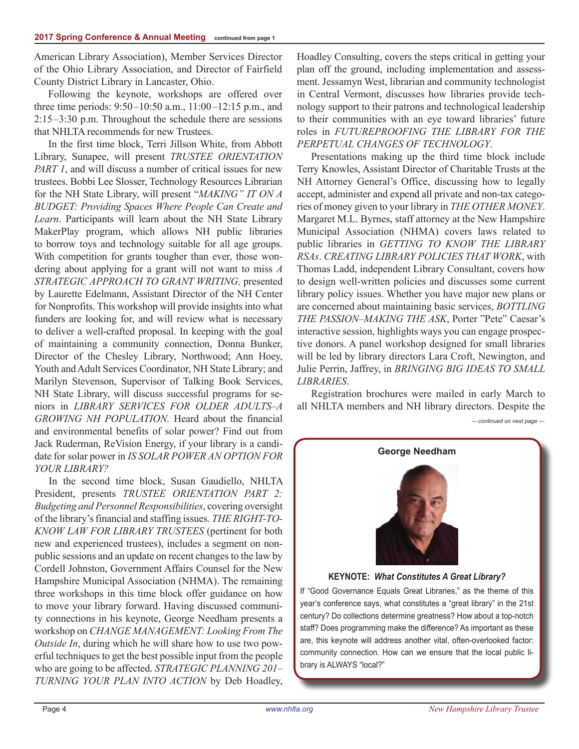American Library Association), Member Services Director of the Ohio Library Association, and Director of Fairfield County District Library in Lancaster, Ohio.

Following the keynote, workshops are offered over three time periods: 9:50–10:50 a.m., 11:00–12:15 p.m., and 2:15–3:30 p.m. Throughout the schedule there are sessions that NHLTA recommends for new Trustees.

In the first time block, Terri Jillson White, from Abbott Library, Sunapee, will present *TRUSTEE ORIENTATION PART 1*, and will discuss a number of critical issues for new trustees. Bobbi Lee Slosser, Technology Resources Librarian for the NH State Library, will present "*MAKING" IT ON A Budget: Providing Spaces Where People Can Create and Learn*. Participants will learn about the NH State Library MakerPlay program, which allows NH public libraries to borrow toys and technology suitable for all age groups. With competition for grants tougher than ever, those wondering about applying for a grant will not want to miss *A St rategic App roach To Grant Writin g,* presented by Laurette Edelmann, Assistant Director of the NH Center for Nonprofits. This workshop will provide insights into what funders are looking for, and will review what is necessary to deliver a well-crafted proposal. In keeping with the goal of maintaining a community connection, Donna Bunker, Director of the Chesley Library, Northwood; Ann Hoey, Youth and Adult Services Coordinator, NH State Library; and Marilyn Stevenson, Supervisor of Talking Book Services, NH State Library, will discuss successful programs for seniors in *LIBRARY SERVICES FOR OLDER ADULTS-A GROWING NH POPULATION.* Heard about the financial and environmental benefits of solar power? Find out from Jack Ruderman, ReVision Energy, if your library is a candidate for solar power in *IS SOLAR POWER AN OPTION FOR* YOUR LIBRARY?

In the second time block, Susan Gaudiello, NHLTA President, presents *TRUSTEE ORIENTATION PART* 2: *Budgeting and Personnel Responsibilities*, covering oversight of the library's financial and staffing issues. *THE RIGHT-TO-Know Law For Lib rary Trustees* (pertinent for both new and experienced trustees), includes a segment on nonpublic sessions and an update on recent changes to the law by Cordell Johnston, Government Affairs Counsel for the New Hampshire Municipal Association (NHMA). The remaining three workshops in this time block offer guidance on how to move your library forward. Having discussed community connections in his keynote, George Needham presents a workshop on *Change Management : Looking From The Outside In*, during which he will share how to use two powerful techniques to get the best possible input from the people who are going to be affected. *STRATEGIC PLANNING 201*– *Turnin g Your Plan Into Action* by Deb Hoadley, Hoadley Consulting, covers the steps critical in getting your plan off the ground, including implementation and assessment. Jessamyn West, librarian and community technologist in Central Vermont, discusses how libraries provide technology support to their patrons and technological leadership to their communities with an eye toward libraries' future roles in *Futureproofing The Library For The Perpetual Changes Of Technology*.

Presentations making up the third time block include Terry Knowles, Assistant Director of Charitable Trusts at the NH Attorney General's Office, discussing how to legally accept, administer and expend all private and non-tax categories of money given to your library in *The Other Money*. Margaret M.L. Byrnes, staff attorney at the New Hampshire Municipal Association (NHMA) covers laws related to public libraries in *Getting To Know The Library RSAs*. *Creating Library Policies That Work*, with Thomas Ladd, independent Library Consultant, covers how to design well-written policies and discusses some current library policy issues. Whether you have major new plans or are concerned about maintaining basic services, *BOTTLING THE PASSION–MAKING THE ASK*, Porter "Pete" Caesar's interactive session, highlights ways you can engage prospective donors. A panel workshop designed for small libraries will be led by library directors Lara Croft, Newington, and Julie Perrin, Jaffrey, in *BRINGING BIG IDEAS TO SMALL Libraries*.

Registration brochures were mailed in early March to all NHLTA members and NH library directors. Despite the

*— continued on next page —*

**George Needham**



**KEYNOTE:** *What Constitutes A Great Library?*

If "Good Governance Equals Great Libraries," as the theme of this year's conference says, what constitutes a "great library" in the 21st century? Do collections determine greatness? How about a top-notch staff? Does programming make the difference? As important as these are, this keynote will address another vital, often-overlooked factor: community connection. How can we ensure that the local public library is ALWAYS "local?"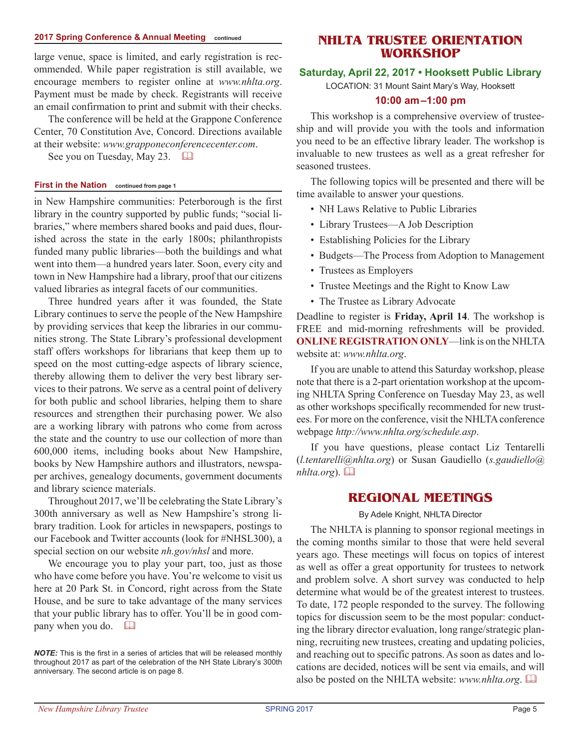#### **2017 Spring Conference & Annual Meeting continued**

large venue, space is limited, and early registration is recommended. While paper registration is still available, we encourage members to register online at *www.nhlta.org*. Payment must be made by check. Registrants will receive an email confirmation to print and submit with their checks.

The conference will be held at the Grappone Conference Center, 70 Constitution Ave, Concord. Directions available at their website: *www.grapponeconferencecenter.com*.

See you on Tuesday, May 23.  $\Box$ 

#### **First in the Nation continued from page 1**

in New Hampshire communities: Peterborough is the first library in the country supported by public funds; "social libraries," where members shared books and paid dues, flourished across the state in the early 1800s; philanthropists funded many public libraries—both the buildings and what went into them—a hundred years later. Soon, every city and town in New Hampshire had a library, proof that our citizens valued libraries as integral facets of our communities.

Three hundred years after it was founded, the State Library continues to serve the people of the New Hampshire by providing services that keep the libraries in our communities strong. The State Library's professional development staff offers workshops for librarians that keep them up to speed on the most cutting-edge aspects of library science, thereby allowing them to deliver the very best library services to their patrons. We serve as a central point of delivery for both public and school libraries, helping them to share resources and strengthen their purchasing power. We also are a working library with patrons who come from across the state and the country to use our collection of more than 600,000 items, including books about New Hampshire, books by New Hampshire authors and illustrators, newspaper archives, genealogy documents, government documents and library science materials.

Throughout 2017, we'll be celebrating the State Library's 300th anniversary as well as New Hampshire's strong library tradition. Look for articles in newspapers, postings to our Facebook and Twitter accounts (look for #NHSL300), a special section on our website *nh.gov/nhsl* and more.

We encourage you to play your part, too, just as those who have come before you have. You're welcome to visit us here at 20 Park St. in Concord, right across from the State House, and be sure to take advantage of the many services that your public library has to offer. You'll be in good company when you do.  $\Box$ 

# **NHLTA TRUSTEE orientation workshop**

### **Saturday, April 22, 2017 • Hooksett Public Library**

LOCATION: 31 Mount Saint Mary's Way, Hooksett

### **10:00 am–1:00 pm**

This workshop is a comprehensive overview of trusteeship and will provide you with the tools and information you need to be an effective library leader. The workshop is invaluable to new trustees as well as a great refresher for seasoned trustees.

The following topics will be presented and there will be time available to answer your questions.

- NH Laws Relative to Public Libraries
- Library Trustees—A Job Description
- Establishing Policies for the Library
- Budgets—The Process from Adoption to Management
- Trustees as Employers
- Trustee Meetings and the Right to Know Law
- The Trustee as Library Advocate

Deadline to register is **Friday, April 14**. The workshop is FREE and mid-morning refreshments will be provided. **ONLINE REGISTRATION ONLY—link is on the NHLTA** website at: *www.nhlta.org*.

If you are unable to attend this Saturday workshop, please note that there is a 2-part orientation workshop at the upcoming NHLTA Spring Conference on Tuesday May 23, as well as other workshops specifically recommended for new trustees. For more on the conference, visit the NHLTA conference webpage *http://www.nhlta.org/schedule.asp*.

If you have questions, please contact Liz Tentarelli (*l.tentarelli@nhlta.org*) or Susan Gaudiello (*s.gaudiello@ nhlta.org*).  $\Box$ 

## **REGIONAL MEETINGS**

#### By Adele Knight, NHLTA Director

The NHLTA is planning to sponsor regional meetings in the coming months similar to those that were held several years ago. These meetings will focus on topics of interest as well as offer a great opportunity for trustees to network and problem solve. A short survey was conducted to help determine what would be of the greatest interest to trustees. To date, 172 people responded to the survey. The following topics for discussion seem to be the most popular: conducting the library director evaluation, long range/strategic planning, recruiting new trustees, creating and updating policies, and reaching out to specific patrons. As soon as dates and locations are decided, notices will be sent via emails, and will also be posted on the NHLTA website: *www.nhlta.org*. &

*NOTE:* This is the first in a series of articles that will be released monthly throughout 2017 as part of the celebration of the NH State Library's 300th anniversary. The second article is on page 8.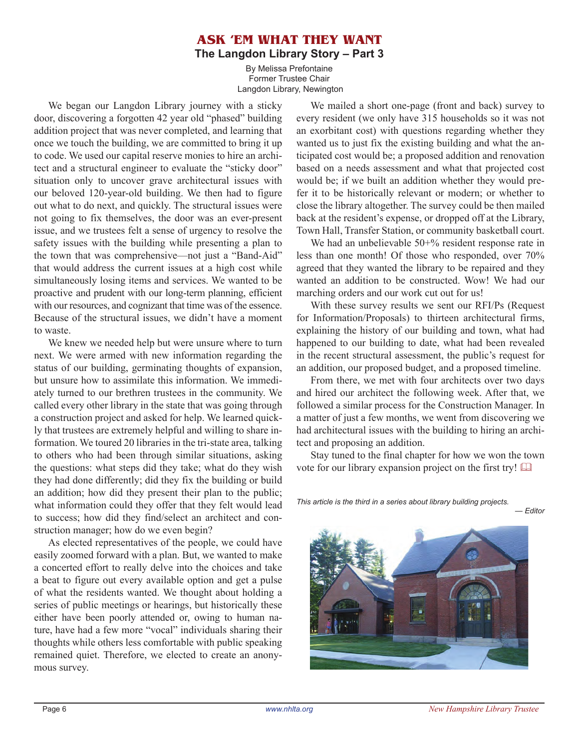# **Ask 'em what they want The Langdon Library Story – Part 3**

By Melissa Prefontaine Former Trustee Chair Langdon Library, Newington

We began our Langdon Library journey with a sticky door, discovering a forgotten 42 year old "phased" building addition project that was never completed, and learning that once we touch the building, we are committed to bring it up to code. We used our capital reserve monies to hire an architect and a structural engineer to evaluate the "sticky door" situation only to uncover grave architectural issues with our beloved 120-year-old building. We then had to figure out what to do next, and quickly. The structural issues were not going to fix themselves, the door was an ever-present issue, and we trustees felt a sense of urgency to resolve the safety issues with the building while presenting a plan to the town that was comprehensive—not just a "Band-Aid" that would address the current issues at a high cost while simultaneously losing items and services. We wanted to be proactive and prudent with our long-term planning, efficient with our resources, and cognizant that time was of the essence. Because of the structural issues, we didn't have a moment to waste.

We knew we needed help but were unsure where to turn next. We were armed with new information regarding the status of our building, germinating thoughts of expansion, but unsure how to assimilate this information. We immediately turned to our brethren trustees in the community. We called every other library in the state that was going through a construction project and asked for help. We learned quickly that trustees are extremely helpful and willing to share information. We toured 20 libraries in the tri-state area, talking to others who had been through similar situations, asking the questions: what steps did they take; what do they wish they had done differently; did they fix the building or build an addition; how did they present their plan to the public; what information could they offer that they felt would lead to success; how did they find/select an architect and construction manager; how do we even begin?

As elected representatives of the people, we could have easily zoomed forward with a plan. But, we wanted to make a concerted effort to really delve into the choices and take a beat to figure out every available option and get a pulse of what the residents wanted. We thought about holding a series of public meetings or hearings, but historically these either have been poorly attended or, owing to human nature, have had a few more "vocal" individuals sharing their thoughts while others less comfortable with public speaking remained quiet. Therefore, we elected to create an anonymous survey.

We mailed a short one-page (front and back) survey to every resident (we only have 315 households so it was not an exorbitant cost) with questions regarding whether they wanted us to just fix the existing building and what the anticipated cost would be; a proposed addition and renovation based on a needs assessment and what that projected cost would be; if we built an addition whether they would prefer it to be historically relevant or modern; or whether to close the library altogether. The survey could be then mailed back at the resident's expense, or dropped off at the Library, Town Hall, Transfer Station, or community basketball court.

We had an unbelievable 50<sup>+%</sup> resident response rate in less than one month! Of those who responded, over 70% agreed that they wanted the library to be repaired and they wanted an addition to be constructed. Wow! We had our marching orders and our work cut out for us!

With these survey results we sent our RFI/Ps (Request for Information/Proposals) to thirteen architectural firms, explaining the history of our building and town, what had happened to our building to date, what had been revealed in the recent structural assessment, the public's request for an addition, our proposed budget, and a proposed timeline.

From there, we met with four architects over two days and hired our architect the following week. After that, we followed a similar process for the Construction Manager. In a matter of just a few months, we went from discovering we had architectural issues with the building to hiring an architect and proposing an addition.

Stay tuned to the final chapter for how we won the town vote for our library expansion project on the first try!  $\Box$ 

*This article is the third in a series about library building projects.*

*— Editor*

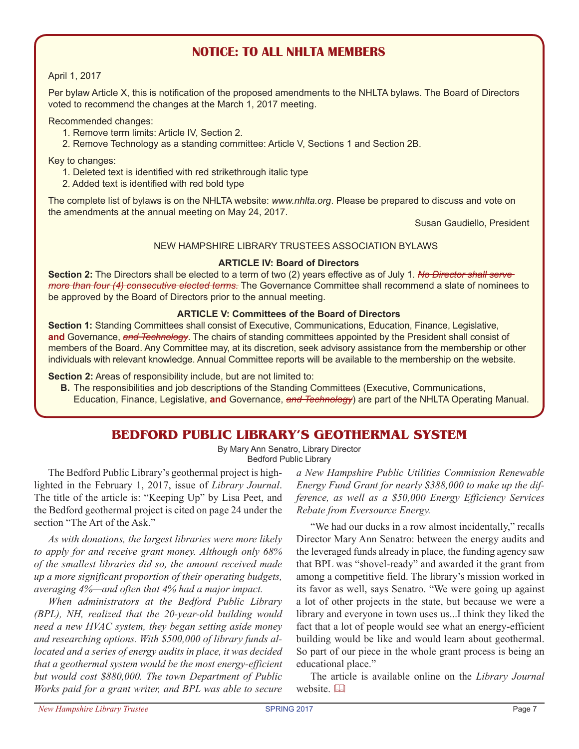# **NOTICE: tO ALL NHLTA MEMBERS**

#### April 1, 2017

Per bylaw Article X, this is notification of the proposed amendments to the NHLTA bylaws. The Board of Directors voted to recommend the changes at the March 1, 2017 meeting.

#### Recommended changes:

- 1. Remove term limits: Article IV, Section 2.
- 2. Remove Technology as a standing committee: Article V, Sections 1 and Section 2B.

Key to changes:

1. Deleted text is identified with red strikethrough italic type

2. Added text is identified with red bold type

The complete list of bylaws is on the NHLTA website: *www.nhlta.org*. Please be prepared to discuss and vote on the amendments at the annual meeting on May 24, 2017.

Susan Gaudiello, President

### NEW HAMPSHIRE LIBRARY TRUSTEES ASSOCIATION BYLAWS

#### **ARTICLE IV: Board of Directors**

**Section 2:** The Directors shall be elected to a term of two (2) years effective as of July 1. *No Director shall serve more than four (4) consecutive elected terms.* The Governance Committee shall recommend a slate of nominees to be approved by the Board of Directors prior to the annual meeting.

#### **ARTICLE V: Committees of the Board of Directors**

**Section 1:** Standing Committees shall consist of Executive, Communications, Education, Finance, Legislative, **and** Governance, *and Technology*. The chairs of standing committees appointed by the President shall consist of members of the Board. Any Committee may, at its discretion, seek advisory assistance from the membership or other individuals with relevant knowledge. Annual Committee reports will be available to the membership on the website.

**Section 2:** Areas of responsibility include, but are not limited to:

**B.** The responsibilities and job descriptions of the Standing Committees (Executive, Communications, Education, Finance, Legislative, **and** Governance, *and Technology*) are part of the NHLTA Operating Manual.

## **Bedford Public Library's Geothermal System**

By Mary Ann Senatro, Library Director Bedford Public Library

The Bedford Public Library's geothermal project is highlighted in the February 1, 2017, issue of *Library Journal*. The title of the article is: "Keeping Up" by Lisa Peet, and the Bedford geothermal project is cited on page 24 under the section "The Art of the Ask."

*As with donations, the largest libraries were more likely to apply for and receive grant money. Although only 68% of the smallest libraries did so, the amount received made up a more significant proportion of their operating budgets, averaging 4%—and often that 4% had a major impact.*

*When administrators at the Bedford Public Library (BPL), NH, realized that the 20-year-old building would need a new HVAC system, they began setting aside money and researching options. With \$500,000 of library funds allocated and a series of energy audits in place, it was decided that a geothermal system would be the most energy-efficient but would cost \$880,000. The town Department of Public Works paid for a grant writer, and BPL was able to secure* 

*a New Hampshire Public Utilities Commission Renewable Energy Fund Grant for nearly \$388,000 to make up the difference, as well as a \$50,000 Energy Efficiency Services Rebate from Eversource Energy.*

"We had our ducks in a row almost incidentally," recalls Director Mary Ann Senatro: between the energy audits and the leveraged funds already in place, the funding agency saw that BPL was "shovel-ready" and awarded it the grant from among a competitive field. The library's mission worked in its favor as well, says Senatro. "We were going up against a lot of other projects in the state, but because we were a library and everyone in town uses us...I think they liked the fact that a lot of people would see what an energy-efficient building would be like and would learn about geothermal. So part of our piece in the whole grant process is being an educational place."

The article is available online on the *Library Journal* website. La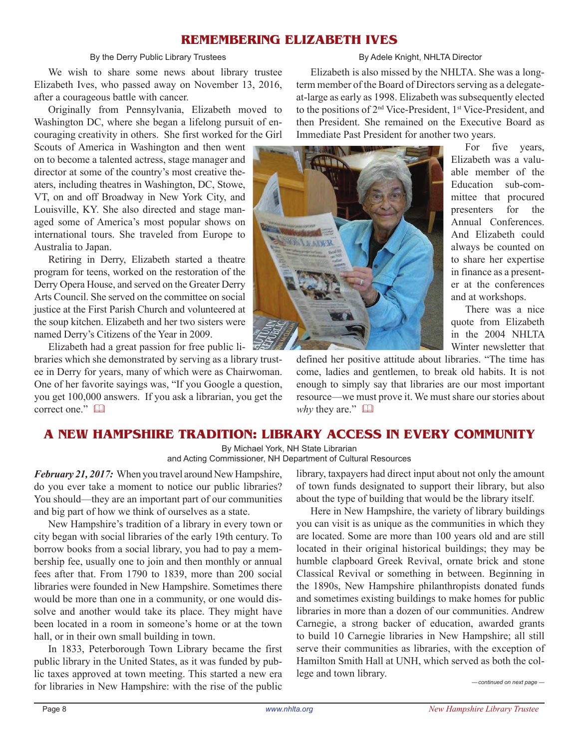# **Remembering Elizabeth Ives**

### By the Derry Public Library Trustees

We wish to share some news about library trustee Elizabeth Ives, who passed away on November 13, 2016, after a courageous battle with cancer.

Originally from Pennsylvania, Elizabeth moved to Washington DC, where she began a lifelong pursuit of encouraging creativity in others. She first worked for the Girl

Scouts of America in Washington and then went on to become a talented actress, stage manager and director at some of the country's most creative theaters, including theatres in Washington, DC, Stowe, VT, on and off Broadway in New York City, and Louisville, KY. She also directed and stage managed some of America's most popular shows on international tours. She traveled from Europe to Australia to Japan.

Retiring in Derry, Elizabeth started a theatre program for teens, worked on the restoration of the Derry Opera House, and served on the Greater Derry Arts Council. She served on the committee on social justice at the First Parish Church and volunteered at the soup kitchen. Elizabeth and her two sisters were named Derry's Citizens of the Year in 2009.

Elizabeth had a great passion for free public libraries which she demonstrated by serving as a library trustee in Derry for years, many of which were as Chairwoman. One of her favorite sayings was, "If you Google a question, you get 100,000 answers. If you ask a librarian, you get the correct one."

#### By Adele Knight, NHLTA Director

Elizabeth is also missed by the NHLTA. She was a longterm member of the Board of Directors serving as a delegateat-large as early as 1998. Elizabeth wassubsequently elected to the positions of 2nd Vice-President, 1st Vice-President, and then President. She remained on the Executive Board as Immediate Past President for another two years.



For five years, Elizabeth was a valuable member of the Education sub-committee that procured presenters for the Annual Conferences. And Elizabeth could always be counted on to share her expertise in finance as a presenter at the conferences and at workshops.

There was a nice quote from Elizabeth in the 2004 NHLTA Winter newsletter that

defined her positive attitude about libraries. "The time has come, ladies and gentlemen, to break old habits. It is not enough to simply say that libraries are our most important resource—we must prove it. We must share our stories about *why* they are."  $\Box$ 

# **A New Hampshire Tradition: Library Access in Every Community**

By Michael York, NH State Librarian and Acting Commissioner, NH Department of Cultural Resources

*February 21, 2017:* When you travel around New Hampshire, do you ever take a moment to notice our public libraries? You should—they are an important part of our communities and big part of how we think of ourselves as a state.

New Hampshire's tradition of a library in every town or city began with social libraries of the early 19th century. To borrow books from a social library, you had to pay a membership fee, usually one to join and then monthly or annual fees after that. From 1790 to 1839, more than 200 social libraries were founded in New Hampshire. Sometimes there would be more than one in a community, or one would dissolve and another would take its place. They might have been located in a room in someone's home or at the town hall, or in their own small building in town.

In 1833, Peterborough Town Library became the first public library in the United States, as it was funded by public taxes approved at town meeting. This started a new era for libraries in New Hampshire: with the rise of the public

library, taxpayers had direct input about not only the amount of town funds designated to support their library, but also about the type of building that would be the library itself.

Here in New Hampshire, the variety of library buildings you can visit is as unique as the communities in which they are located. Some are more than 100 years old and are still located in their original historical buildings; they may be humble clapboard Greek Revival, ornate brick and stone Classical Revival or something in between. Beginning in the 1890s, New Hampshire philanthropists donated funds and sometimes existing buildings to make homes for public libraries in more than a dozen of our communities. Andrew Carnegie, a strong backer of education, awarded grants to build 10 Carnegie libraries in New Hampshire; all still serve their communities as libraries, with the exception of Hamilton Smith Hall at UNH, which served as both the college and town library.

*— continued on next page —*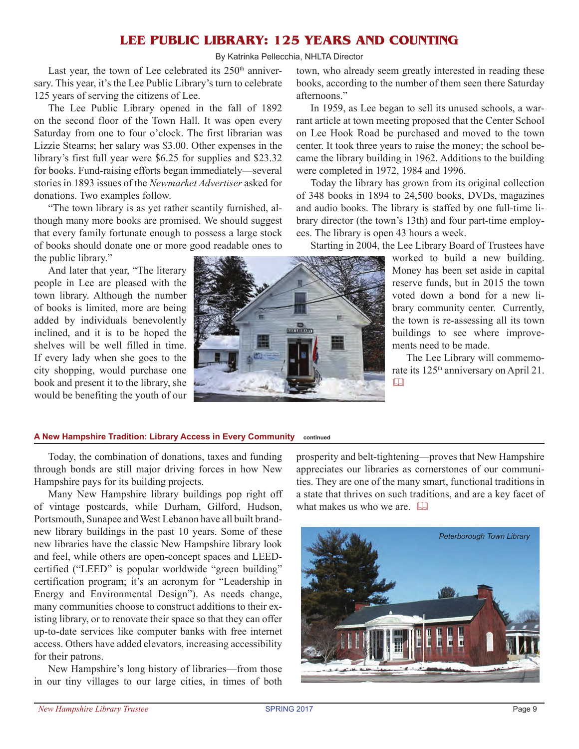# **Lee Public Library: 125 years and counting**

By Katrinka Pellecchia, NHLTA Director

Last year, the town of Lee celebrated its  $250<sup>th</sup>$  anniversary. This year, it's the Lee Public Library's turn to celebrate 125 years of serving the citizens of Lee.

The Lee Public Library opened in the fall of 1892 on the second floor of the Town Hall. It was open every Saturday from one to four o'clock. The first librarian was Lizzie Stearns; her salary was \$3.00. Other expenses in the library's first full year were \$6.25 for supplies and \$23.32 for books. Fund-raising efforts began immediately—several stories in 1893 issues of the *Newmarket Advertiser* asked for donations. Two examples follow.

"The town library is as yet rather scantily furnished, although many more books are promised. We should suggest that every family fortunate enough to possess a large stock of books should donate one or more good readable ones to the public library."

And later that year, "The literary people in Lee are pleased with the town library. Although the number of books is limited, more are being added by individuals benevolently inclined, and it is to be hoped the shelves will be well filled in time. If every lady when she goes to the city shopping, would purchase one book and present it to the library, she would be benefiting the youth of our



town, who already seem greatly interested in reading these books, according to the number of them seen there Saturday afternoons."

In 1959, as Lee began to sell its unused schools, a warrant article at town meeting proposed that the Center School on Lee Hook Road be purchased and moved to the town center. It took three years to raise the money; the school became the library building in 1962. Additions to the building were completed in 1972, 1984 and 1996.

Today the library has grown from its original collection of 348 books in 1894 to 24,500 books, DVDs, magazines and audio books. The library is staffed by one full-time library director (the town's 13th) and four part-time employees. The library is open 43 hours a week.

Starting in 2004, the Lee Library Board of Trustees have

worked to build a new building. Money has been set aside in capital reserve funds, but in 2015 the town voted down a bond for a new library community center. Currently, the town is re-assessing all its town buildings to see where improvements need to be made.

The Lee Library will commemorate its 125<sup>th</sup> anniversary on April 21.  $\Box$ 

#### **A New Hampshire Tradition: Library Access in Every Community continued**

Today, the combination of donations, taxes and funding through bonds are still major driving forces in how New Hampshire pays for its building projects.

Many New Hampshire library buildings pop right off of vintage postcards, while Durham, Gilford, Hudson, Portsmouth, Sunapee and West Lebanon have all built brandnew library buildings in the past 10 years. Some of these new libraries have the classic New Hampshire library look and feel, while others are open-concept spaces and LEEDcertified ("LEED" is popular worldwide "green building" certification program; it's an acronym for "Leadership in Energy and Environmental Design"). As needs change, many communities choose to construct additions to their existing library, or to renovate their space so that they can offer up-to-date services like computer banks with free internet access. Others have added elevators, increasing accessibility for their patrons.

New Hampshire's long history of libraries—from those in our tiny villages to our large cities, in times of both

prosperity and belt-tightening—proves that New Hampshire appreciates our libraries as cornerstones of our communities. They are one of the many smart, functional traditions in a state that thrives on such traditions, and are a key facet of what makes us who we are.  $\Box$ 

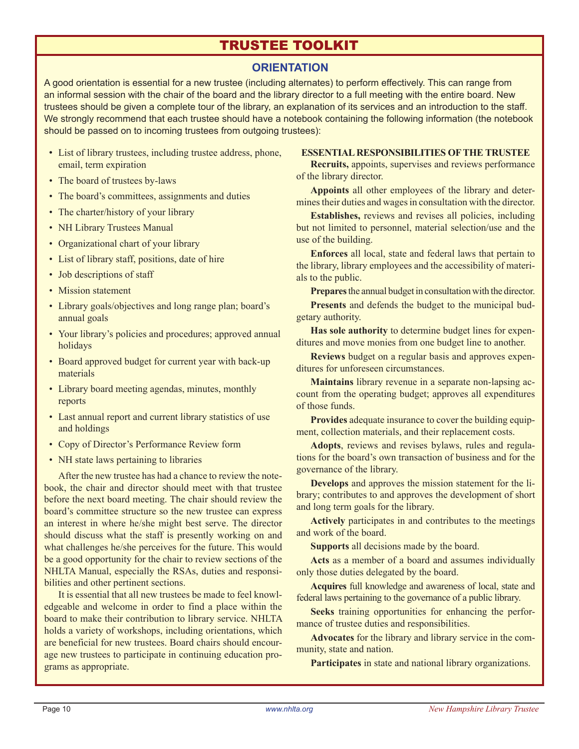# trustee toolkit

# **ORIENTATION**

A good orientation is essential for a new trustee (including alternates) to perform effectively. This can range from an informal session with the chair of the board and the library director to a full meeting with the entire board. New trustees should be given a complete tour of the library, an explanation of its services and an introduction to the staff. We strongly recommend that each trustee should have a notebook containing the following information (the notebook should be passed on to incoming trustees from outgoing trustees):

- List of library trustees, including trustee address, phone, email, term expiration
- The board of trustees by-laws
- The board's committees, assignments and duties
- The charter/history of your library
- NH Library Trustees Manual
- Organizational chart of your library
- List of library staff, positions, date of hire
- Job descriptions of staff
- Mission statement
- Library goals/objectives and long range plan; board's annual goals
- Your library's policies and procedures; approved annual holidays
- Board approved budget for current year with back-up materials
- Library board meeting agendas, minutes, monthly reports
- Last annual report and current library statistics of use and holdings
- Copy of Director's Performance Review form
- NH state laws pertaining to libraries

After the new trustee has had a chance to review the notebook, the chair and director should meet with that trustee before the next board meeting. The chair should review the board's committee structure so the new trustee can express an interest in where he/she might best serve. The director should discuss what the staff is presently working on and what challenges he/she perceives for the future. This would be a good opportunity for the chair to review sections of the NHLTA Manual, especially the RSAs, duties and responsibilities and other pertinent sections.

It is essential that all new trustees be made to feel knowledgeable and welcome in order to find a place within the board to make their contribution to library service. NHLTA holds a variety of workshops, including orientations, which are beneficial for new trustees. Board chairs should encourage new trustees to participate in continuing education programs as appropriate.

#### **ESSENTIAL RESPONSIBILITIES OF THE TRUSTEE**

**Recruits,** appoints, supervises and reviews performance of the library director.

**Appoints** all other employees of the library and determines their duties and wages in consultation with the director.

**Establishes,** reviews and revises all policies, including but not limited to personnel, material selection/use and the use of the building.

**Enforces** all local, state and federal laws that pertain to the library, library employees and the accessibility of materials to the public.

**Prepares** the annual budget in consultation with the director.

**Presents** and defends the budget to the municipal budgetary authority.

**Has sole authority** to determine budget lines for expenditures and move monies from one budget line to another.

**Reviews** budget on a regular basis and approves expenditures for unforeseen circumstances.

**Maintains** library revenue in a separate non-lapsing account from the operating budget; approves all expenditures of those funds.

**Provides** adequate insurance to cover the building equipment, collection materials, and their replacement costs.

**Adopts**, reviews and revises bylaws, rules and regulations for the board's own transaction of business and for the governance of the library.

**Develops** and approves the mission statement for the library; contributes to and approves the development of short and long term goals for the library.

**Actively** participates in and contributes to the meetings and work of the board.

**Supports** all decisions made by the board.

**Acts** as a member of a board and assumes individually only those duties delegated by the board.

**Acquires** full knowledge and awareness of local, state and federal laws pertaining to the governance of a public library.

**Seeks** training opportunities for enhancing the performance of trustee duties and responsibilities.

**Advocates** for the library and library service in the community, state and nation.

**Participates** in state and national library organizations.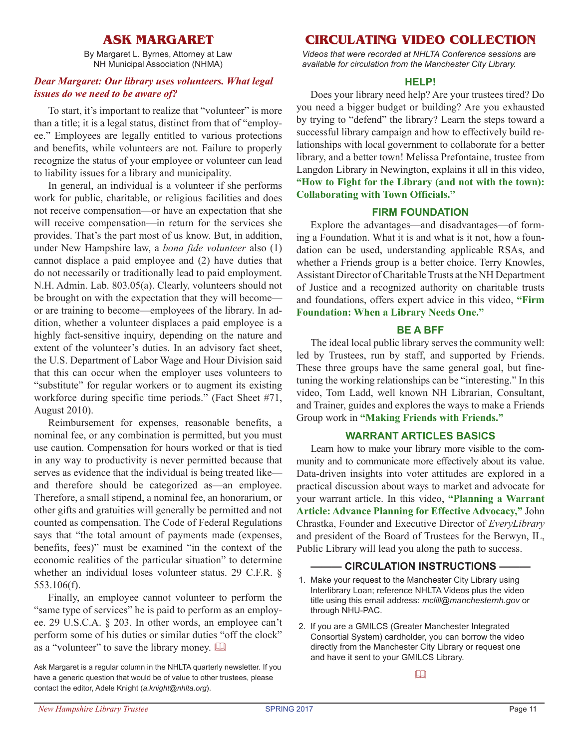# **Ask Margaret**

By Margaret L. Byrnes, Attorney at Law NH Municipal Association (NHMA)

### *Dear Margaret: Our library uses volunteers. What legal issues do we need to be aware of?*

To start, it's important to realize that "volunteer" is more than a title; it is a legal status, distinct from that of "employee." Employees are legally entitled to various protections and benefits, while volunteers are not. Failure to properly recognize the status of your employee or volunteer can lead to liability issues for a library and municipality.

In general, an individual is a volunteer if she performs work for public, charitable, or religious facilities and does not receive compensation—or have an expectation that she will receive compensation—in return for the services she provides. That's the part most of us know. But, in addition, under New Hampshire law, a *bona fide volunteer* also (1) cannot displace a paid employee and (2) have duties that do not necessarily or traditionally lead to paid employment. N.H. Admin. Lab. 803.05(a). Clearly, volunteers should not be brought on with the expectation that they will become or are training to become—employees of the library. In addition, whether a volunteer displaces a paid employee is a highly fact-sensitive inquiry, depending on the nature and extent of the volunteer's duties. In an advisory fact sheet, the U.S. Department of Labor Wage and Hour Division said that this can occur when the employer uses volunteers to "substitute" for regular workers or to augment its existing workforce during specific time periods." (Fact Sheet #71, August 2010).

Reimbursement for expenses, reasonable benefits, a nominal fee, or any combination is permitted, but you must use caution. Compensation for hours worked or that is tied in any way to productivity is never permitted because that serves as evidence that the individual is being treated like and therefore should be categorized as—an employee. Therefore, a small stipend, a nominal fee, an honorarium, or other gifts and gratuities will generally be permitted and not counted as compensation. The Code of Federal Regulations says that "the total amount of payments made (expenses, benefits, fees)" must be examined "in the context of the economic realities of the particular situation" to determine whether an individual loses volunteer status. 29 C.F.R. § 553.106(f).

Finally, an employee cannot volunteer to perform the "same type of services" he is paid to perform as an employee. 29 U.S.C.A. § 203. In other words, an employee can't perform some of his duties or similar duties "off the clock" as a "volunteer" to save the library money.  $\Box$ 

# **circulating VIDEO COLLECTION**

*Videos that were recorded at NHLTA Conference sessions are available for circulation from the Manchester City Library.*

### **HELP!**

Does your library need help? Are your trustees tired? Do you need a bigger budget or building? Are you exhausted by trying to "defend" the library? Learn the steps toward a successful library campaign and how to effectively build relationships with local government to collaborate for a better library, and a better town! Melissa Prefontaine, trustee from Langdon Library in Newington, explains it all in this video, **"How to Fight for the Library (and not with the town): Collaborating with Town Officials."**

### **FIRM FOUNDATION**

Explore the advantages—and disadvantages—of forming a Foundation. What it is and what is it not, how a foundation can be used, understanding applicable RSAs, and whether a Friends group is a better choice. Terry Knowles, Assistant Director ofCharitableTrusts at the NH Department of Justice and a recognized authority on charitable trusts and foundations, offers expert advice in this video, **"Firm Foundation: When a Library Needs One."** 

### **BE A BFF**

The ideal local public library serves the community well: led by Trustees, run by staff, and supported by Friends. These three groups have the same general goal, but finetuning the working relationships can be "interesting." In this video, Tom Ladd, well known NH Librarian, Consultant, and Trainer, guides and explores the ways to make a Friends Group work in **"Making Friends with Friends."**

### **WARRANT ARTICLES BASICS**

Learn how to make your library more visible to the community and to communicate more effectively about its value. Data-driven insights into voter attitudes are explored in a practical discussion about ways to market and advocate for your warrant article. In this video, **"Planning a Warrant Article: Advance Planning for Effective Advocacy,"** John Chrastka, Founder and Executive Director of *EveryLibrary* and president of the Board of Trustees for the Berwyn, IL, Public Library will lead you along the path to success.

### **- CIRCULATION INSTRUCTIONS -**

- 1. Make your request to the Manchester City Library using Interlibrary Loan; reference NHLTA Videos plus the video title using this email address: *mclill@manchesternh.gov* or through NHU-PAC.
- 2. If you are a GMILCS (Greater Manchester Integrated Consortial System) cardholder, you can borrow the video directly from the Manchester City Library or request one and have it sent to your GMILCS Library.

 $\Box$ 

Ask Margaret is a regular column in the NHLTA quarterly newsletter. If you have a generic question that would be of value to other trustees, please contact the editor, Adele Knight (*a.knight@nhlta.org*).